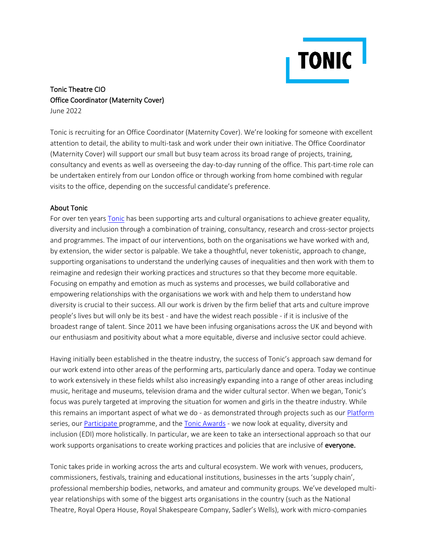

### Tonic Theatre CIO Office Coordinator (Maternity Cover) June 2022

Tonic is recruiting for an Office Coordinator (Maternity Cover). We're looking for someone with excellent attention to detail, the ability to multi-task and work under their own initiative. The Office Coordinator (Maternity Cover) will support our small but busy team across its broad range of projects, training, consultancy and events as well as overseeing the day-to-day running of the office. This part-time role can be undertaken entirely from our London office or through working from home combined with regular visits to the office, depending on the successful candidate's preference.

#### About Tonic

For over ten year[s Tonic](https://www.tonictheatre.co.uk/#about) has been supporting arts and cultural organisations to achieve greater equality, diversity and inclusion through a combination of training, consultancy, research and cross-sector projects and programmes. The impact of our interventions, both on the organisations we have worked with and, by extension, the wider sector is palpable. We take a thoughtful, never tokenistic, approach to change, supporting organisations to understand the underlying causes of inequalities and then work with them to reimagine and redesign their working practices and structures so that they become more equitable. Focusing on empathy and emotion as much as systems and processes, we build collaborative and empowering relationships with the organisations we work with and help them to understand how diversity is crucial to their success. All our work is driven by the firm belief that arts and culture improve people's lives but will only be its best - and have the widest reach possible - if it is inclusive of the broadest range of talent. Since 2011 we have been infusing organisations across the UK and beyond with our enthusiasm and positivity about what a more equitable, diverse and inclusive sector could achieve.

Having initially been established in the theatre industry, the success of Tonic's approach saw demand for our work extend into other areas of the performing arts, particularly dance and opera. Today we continue to work extensively in these fields whilst also increasingly expanding into a range of other areas including music, heritage and museums, television drama and the wider cultural sector. When we began, Tonic's focus was purely targeted at improving the situation for women and girls in the theatre industry. While this remains an important aspect of what we do - as demonstrated through projects such as our [Platform](https://www.tonictheatre.co.uk/platform/) series, ou[r Participate](https://www.tonictheatre.co.uk/training/participate/) programme, and the [Tonic Awards](https://www.tonictheatre.co.uk/events/tonic-awards/) - we now look at equality, diversity and inclusion (EDI) more holistically. In particular, we are keen to take an intersectional approach so that our work supports organisations to create working practices and policies that are inclusive of everyone.

Tonic takes pride in working across the arts and cultural ecosystem. We work with venues, producers, commissioners, festivals, training and educational institutions, businesses in the arts 'supply chain', professional membership bodies, networks, and amateur and community groups. We've developed multiyear relationships with some of the biggest arts organisations in the country (such as the National Theatre, Royal Opera House, Royal Shakespeare Company, Sadler's Wells), work with micro-companies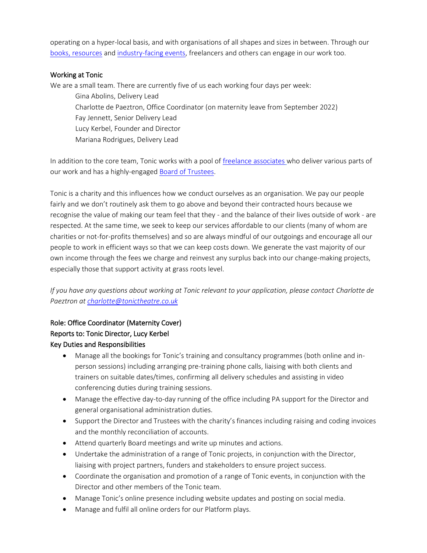operating on a hyper-local basis, and with organisations of all shapes and sizes in between. Through our [books, resources](https://www.tonictheatre.co.uk/books-and-resources/) and [industry-facing events,](https://www.tonictheatre.co.uk/events/) freelancers and others can engage in our work too.

# Working at Tonic

We are a small team. There are currently five of us each working four days per week:

Gina Abolins, Delivery Lead Charlotte de Paeztron, Office Coordinator (on maternity leave from September 2022) Fay Jennett, Senior Delivery Lead Lucy Kerbel, Founder and Director Mariana Rodrigues, Delivery Lead

In addition to the core team, Tonic works with a pool o[f freelance associates](https://www.tonictheatre.co.uk/about/the-team/#associates) who deliver various parts of our work and has a highly-engaged **Board of Trustees**.

Tonic is a charity and this influences how we conduct ourselves as an organisation. We pay our people fairly and we don't routinely ask them to go above and beyond their contracted hours because we recognise the value of making our team feel that they - and the balance of their lives outside of work - are respected. At the same time, we seek to keep our services affordable to our clients (many of whom are charities or not-for-profits themselves) and so are always mindful of our outgoings and encourage all our people to work in efficient ways so that we can keep costs down. We generate the vast majority of our own income through the fees we charge and reinvest any surplus back into our change-making projects, especially those that support activity at grass roots level.

*If you have any questions about working at Tonic relevant to your application, please contact Charlotte de Paeztron at [charlotte@tonictheatre.co.uk](mailto:charlotte@tonictheatre.co.uk)*

# Role: Office Coordinator (Maternity Cover) Reports to: Tonic Director, Lucy Kerbel Key Duties and Responsibilities

- Manage all the bookings for Tonic's training and consultancy programmes (both online and inperson sessions) including arranging pre-training phone calls, liaising with both clients and trainers on suitable dates/times, confirming all delivery schedules and assisting in video conferencing duties during training sessions.
- Manage the effective day-to-day running of the office including PA support for the Director and general organisational administration duties.
- Support the Director and Trustees with the charity's finances including raising and coding invoices and the monthly reconciliation of accounts.
- Attend quarterly Board meetings and write up minutes and actions.
- Undertake the administration of a range of Tonic projects, in conjunction with the Director, liaising with project partners, funders and stakeholders to ensure project success.
- Coordinate the organisation and promotion of a range of Tonic events, in conjunction with the Director and other members of the Tonic team.
- Manage Tonic's online presence including website updates and posting on social media.
- Manage and fulfil all online orders for our Platform plays.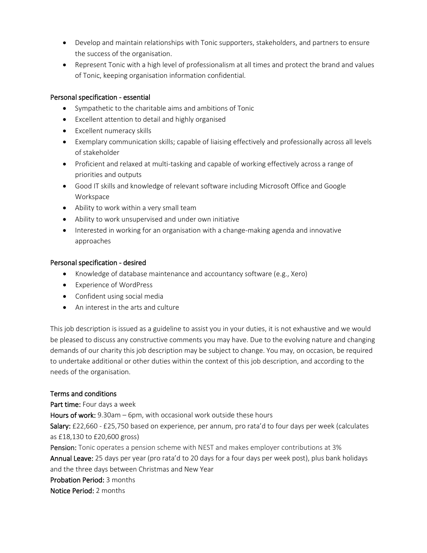- Develop and maintain relationships with Tonic supporters, stakeholders, and partners to ensure the success of the organisation.
- Represent Tonic with a high level of professionalism at all times and protect the brand and values of Tonic, keeping organisation information confidential.

### Personal specification - essential

- Sympathetic to the charitable aims and ambitions of Tonic
- Excellent attention to detail and highly organised
- Excellent numeracy skills
- Exemplary communication skills; capable of liaising effectively and professionally across all levels of stakeholder
- Proficient and relaxed at multi-tasking and capable of working effectively across a range of priorities and outputs
- Good IT skills and knowledge of relevant software including Microsoft Office and Google Workspace
- Ability to work within a very small team
- Ability to work unsupervised and under own initiative
- Interested in working for an organisation with a change-making agenda and innovative approaches

#### Personal specification - desired

- Knowledge of database maintenance and accountancy software (e.g., Xero)
- Experience of WordPress
- Confident using social media
- An interest in the arts and culture

This job description is issued as a guideline to assist you in your duties, it is not exhaustive and we would be pleased to discuss any constructive comments you may have. Due to the evolving nature and changing demands of our charity this job description may be subject to change. You may, on occasion, be required to undertake additional or other duties within the context of this job description, and according to the needs of the organisation.

#### Terms and conditions

Part time: Four days a week

Hours of work: 9.30am – 6pm, with occasional work outside these hours

Salary: £22,660 - £25,750 based on experience, per annum, pro rata'd to four days per week (calculates as £18,130 to £20,600 gross)

Pension: Tonic operates a pension scheme with NEST and makes employer contributions at 3% Annual Leave: 25 days per year (pro rata'd to 20 days for a four days per week post), plus bank holidays and the three days between Christmas and New Year

Probation Period: 3 months

Notice Period: 2 months